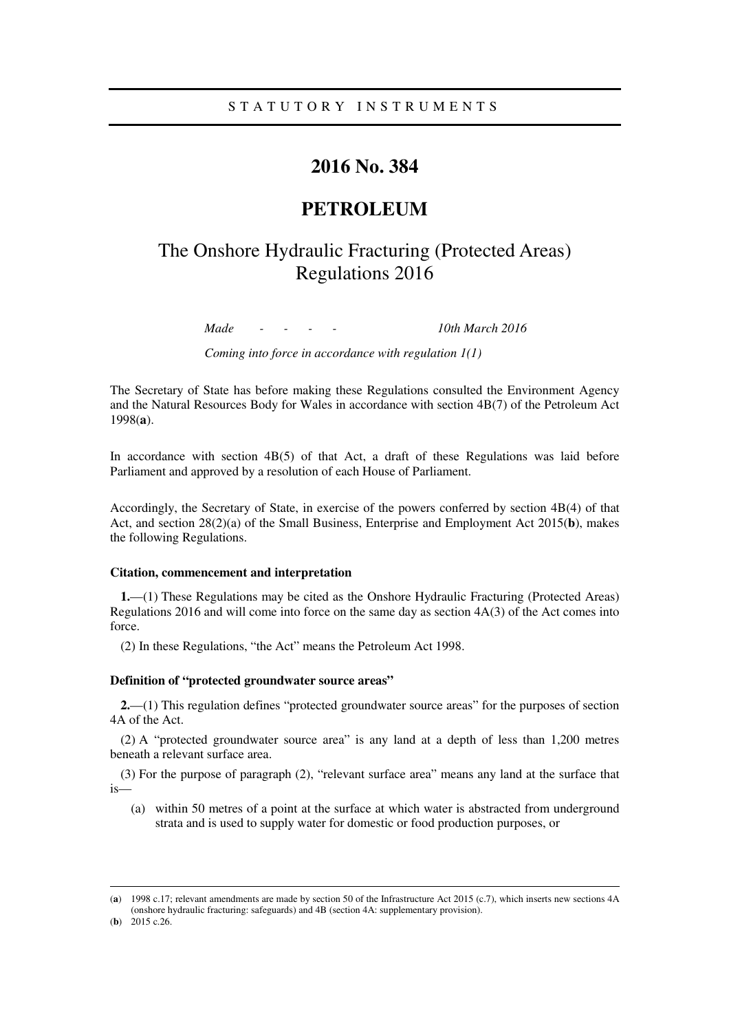## S T A T U T O R Y I N S T R U M E N T S

# **2016 No. 384**

## **PETROLEUM**

# The Onshore Hydraulic Fracturing (Protected Areas) Regulations 2016

*Made - - - - 10th March 2016* 

*Coming into force in accordance with regulation 1(1)* 

The Secretary of State has before making these Regulations consulted the Environment Agency and the Natural Resources Body for Wales in accordance with section 4B(7) of the Petroleum Act 1998(**a**).

In accordance with section  $4B(5)$  of that Act, a draft of these Regulations was laid before Parliament and approved by a resolution of each House of Parliament.

Accordingly, the Secretary of State, in exercise of the powers conferred by section 4B(4) of that Act, and section 28(2)(a) of the Small Business, Enterprise and Employment Act 2015(**b**), makes the following Regulations.

#### **Citation, commencement and interpretation**

**1.**—(1) These Regulations may be cited as the Onshore Hydraulic Fracturing (Protected Areas) Regulations 2016 and will come into force on the same day as section 4A(3) of the Act comes into force.

(2) In these Regulations, "the Act" means the Petroleum Act 1998.

#### **Definition of "protected groundwater source areas"**

<u>.</u>

**2.**—(1) This regulation defines "protected groundwater source areas" for the purposes of section 4A of the Act.

(2) A "protected groundwater source area" is any land at a depth of less than 1,200 metres beneath a relevant surface area.

(3) For the purpose of paragraph (2), "relevant surface area" means any land at the surface that is—

(a) within 50 metres of a point at the surface at which water is abstracted from underground strata and is used to supply water for domestic or food production purposes, or

<sup>(</sup>**a**) 1998 c.17; relevant amendments are made by section 50 of the Infrastructure Act 2015 (c.7), which inserts new sections 4A (onshore hydraulic fracturing: safeguards) and 4B (section 4A: supplementary provision). (**b**) 2015 c.26.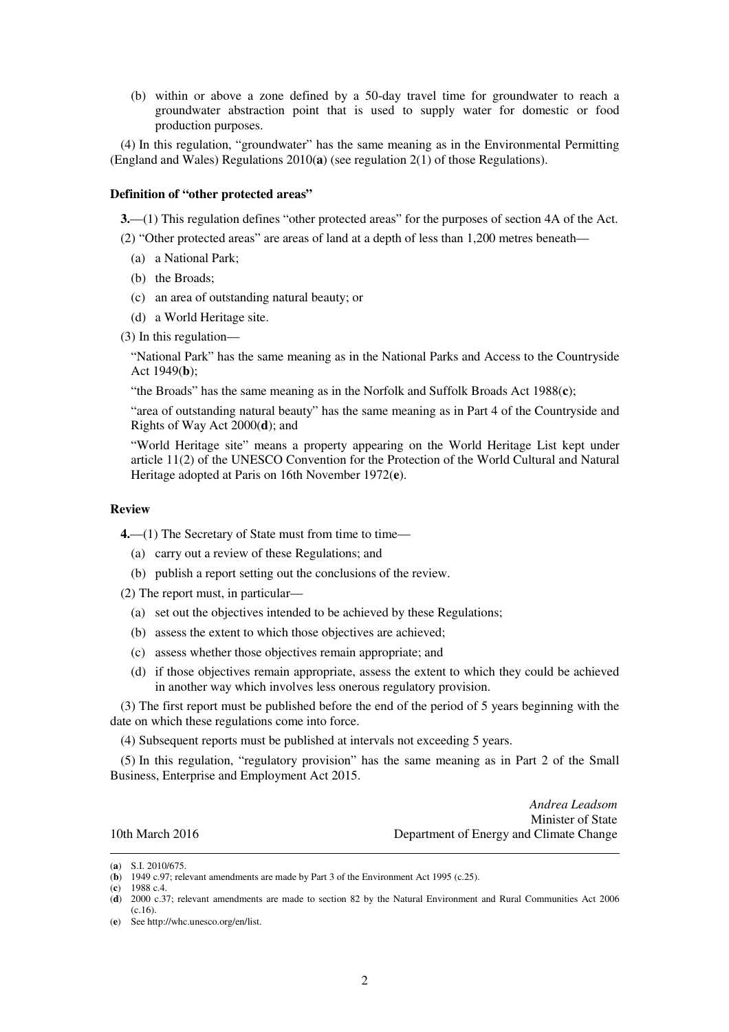(b) within or above a zone defined by a 50-day travel time for groundwater to reach a groundwater abstraction point that is used to supply water for domestic or food production purposes.

(4) In this regulation, "groundwater" has the same meaning as in the Environmental Permitting (England and Wales) Regulations 2010(**a**) (see regulation 2(1) of those Regulations).

### **Definition of "other protected areas"**

**3.**—(1) This regulation defines "other protected areas" for the purposes of section 4A of the Act.

- (2) "Other protected areas" are areas of land at a depth of less than 1,200 metres beneath—
	- (a) a National Park;
	- (b) the Broads;
	- (c) an area of outstanding natural beauty; or
	- (d) a World Heritage site.
- (3) In this regulation—

"National Park" has the same meaning as in the National Parks and Access to the Countryside Act 1949(**b**);

"the Broads" has the same meaning as in the Norfolk and Suffolk Broads Act 1988(**c**);

"area of outstanding natural beauty" has the same meaning as in Part 4 of the Countryside and Rights of Way Act 2000(**d**); and

"World Heritage site" means a property appearing on the World Heritage List kept under article 11(2) of the UNESCO Convention for the Protection of the World Cultural and Natural Heritage adopted at Paris on 16th November 1972(**e**).

#### **Review**

**4.**—(1) The Secretary of State must from time to time—

- (a) carry out a review of these Regulations; and
- (b) publish a report setting out the conclusions of the review.

(2) The report must, in particular—

- (a) set out the objectives intended to be achieved by these Regulations;
- (b) assess the extent to which those objectives are achieved;
- (c) assess whether those objectives remain appropriate; and
- (d) if those objectives remain appropriate, assess the extent to which they could be achieved in another way which involves less onerous regulatory provision.

(3) The first report must be published before the end of the period of 5 years beginning with the date on which these regulations come into force.

(4) Subsequent reports must be published at intervals not exceeding 5 years.

(5) In this regulation, "regulatory provision" has the same meaning as in Part 2 of the Small Business, Enterprise and Employment Act 2015.

*Andrea Leadsom*  Minister of State 10th March 2016 Department of Energy and Climate Change

(**c**) 1988 c.4.

<u>.</u>

<sup>(</sup>**a**) S.I. 2010/675.

<sup>(</sup>**b**) 1949 c.97; relevant amendments are made by Part 3 of the Environment Act 1995 (c.25).

<sup>(</sup>**d**) 2000 c.37; relevant amendments are made to section 82 by the Natural Environment and Rural Communities Act 2006 (c.16).

<sup>(</sup>**e**) See http://whc.unesco.org/en/list.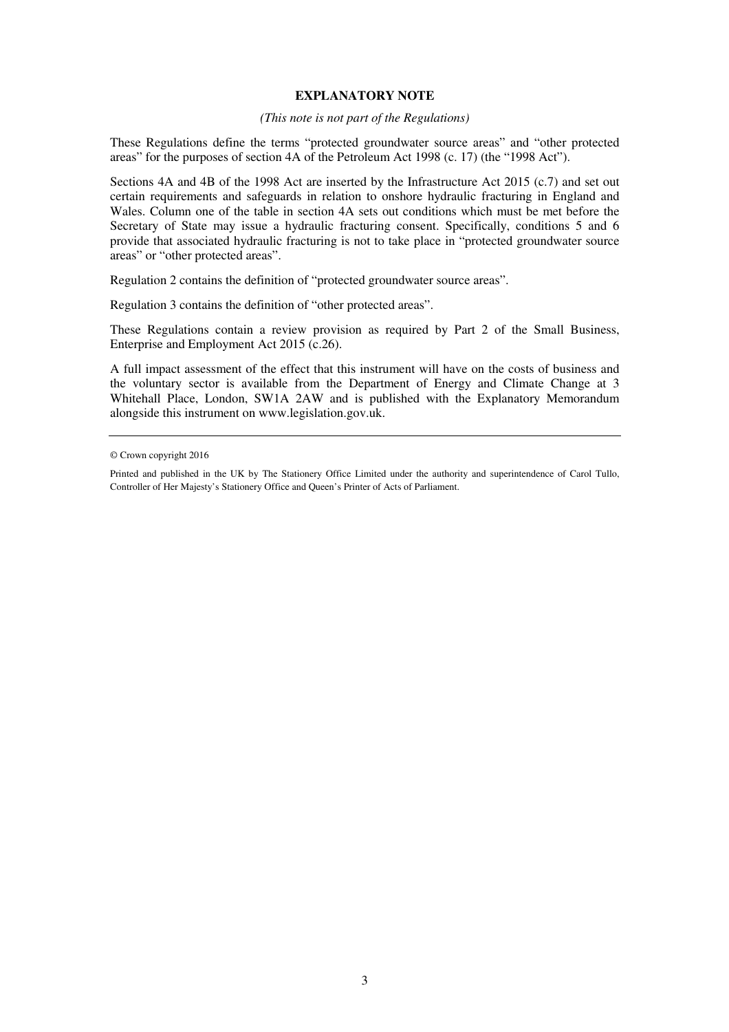#### **EXPLANATORY NOTE**

#### *(This note is not part of the Regulations)*

These Regulations define the terms "protected groundwater source areas" and "other protected areas" for the purposes of section 4A of the Petroleum Act 1998 (c. 17) (the "1998 Act").

Sections 4A and 4B of the 1998 Act are inserted by the Infrastructure Act 2015 (c.7) and set out certain requirements and safeguards in relation to onshore hydraulic fracturing in England and Wales. Column one of the table in section 4A sets out conditions which must be met before the Secretary of State may issue a hydraulic fracturing consent. Specifically, conditions 5 and 6 provide that associated hydraulic fracturing is not to take place in "protected groundwater source areas" or "other protected areas".

Regulation 2 contains the definition of "protected groundwater source areas".

Regulation 3 contains the definition of "other protected areas".

These Regulations contain a review provision as required by Part 2 of the Small Business, Enterprise and Employment Act 2015 (c.26).

A full impact assessment of the effect that this instrument will have on the costs of business and the voluntary sector is available from the Department of Energy and Climate Change at 3 Whitehall Place, London, SW1A 2AW and is published with the Explanatory Memorandum alongside this instrument on www.legislation.gov.uk.

<sup>©</sup> Crown copyright 2016

Printed and published in the UK by The Stationery Office Limited under the authority and superintendence of Carol Tullo, Controller of Her Majesty's Stationery Office and Queen's Printer of Acts of Parliament.